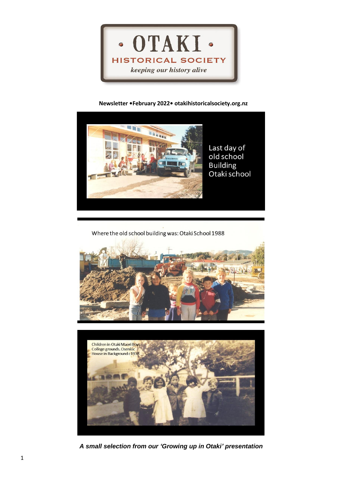

## **Newsletter •February 2022• otakihistoricalsociety.org.nz**



Last day of old school **Building** Otaki school

Where the old school building was: Otaki School 1988





*A small selection from our 'Growing up in Otaki' presentation*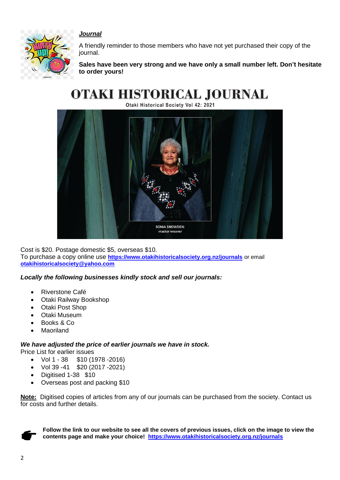

## *Journal*

A friendly reminder to those members who have not yet purchased their copy of the journal.

**Sales have been very strong and we have only a small number left. Don't hesitate to order yours!**

# **OTAKI HISTORICAL JOURNAL**

Otaki Historical Society Vol 42: 2021



Cost is \$20. Postage domestic \$5, overseas \$10. To purchase a copy online use **<https://www.otakihistoricalsociety.org.nz/journals>** or email **[otakihistoricalsociety@yahoo.com](mailto:otakihistoricalsociety@yahoo.com)**

*Locally the following businesses kindly stock and sell our journals:*

- Riverstone Café
- Otaki Railway Bookshop
- Otaki Post Shop
- Otaki Museum
- Books & Co
- Maoriland

### *We have adjusted the price of earlier journals we have in stock.*

Price List for earlier issues

- Vol 1 38 \$10 (1978 -2016)
- Vol 39 -41 \$20 (2017 -2021)
- Digitised 1-38 \$10
- Overseas post and packing \$10

**Note:** Digitised copies of articles from any of our journals can be purchased from the society. Contact us for costs and further details.



**Follow the link to our website to see all the covers of previous issues, click on the image to view the contents page and make your choice! <https://www.otakihistoricalsociety.org.nz/journals>**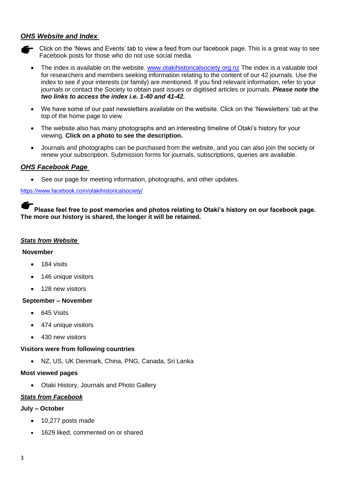# *OHS Website and Index*

- $\blacktriangleright$  Click on the 'News and Events' tab to view a feed from our facebook page. This is a great way to see Facebook posts for those who do not use social media.
	- The index is available on the website. [www.otakihistoricalsociety.org.nz](http://www.otakihistoricalsociety.org.nz/) The index is a valuable tool for researchers and members seeking information relating to the content of our 42 journals. Use the index to see if your interests (or family) are mentioned. If you find relevant information, refer to your journals or contact the Society to obtain past issues or digitised articles or journals. *Please note the two links to access the index i.e. 1-40 and 41-42.*
	- We have some of our past newsletters available on the website. Click on the 'Newsletters' tab at the top of the home page to view.
	- The website also has many photographs and an interesting timeline of Otaki's history for your viewing. **Click on a photo to see the description.**
	- Journals and photographs can be purchased from the website, and you can also join the society or renew your subscription. Submission forms for journals, subscriptions, queries are available.

## *OHS Facebook Page*

• See our page for meeting information, photographs, and other updates.

<https://www.facebook.com/otakihistoricalsociety/>

**Please feel free to post memories and photos relating to Otaki's history on our facebook page. The more our history is shared, the longer it will be retained.**

#### *Stats from Website*

#### **November**

- 184 visits
- 146 unique visitors
- 128 new visitors

### **September – November**

- 645 Visits
- 474 unique visitors
- 430 new visitors

### **Visitors were from following countries**

• NZ, US, UK Denmark, China, PNG, Canada, Sri Lanka

### **Most viewed pages**

• Otaki History, Journals and Photo Gallery

### *Stats from Facebook*

### **July – October**

- 10,277 posts made
- 1629 liked, commented on or shared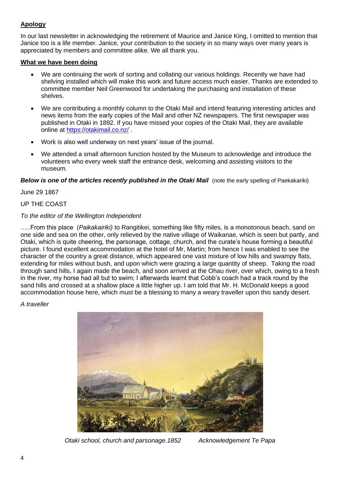# **Apology**

In our last newsletter in acknowledging the retirement of Maurice and Janice King, I omitted to mention that Janice too is a life member. Janice, your contribution to the society in so many ways over many years is appreciated by members and committee alike. We all thank you.

## **What we have been doing**

- We are continuing the work of sorting and collating our various holdings. Recently we have had shelving installed which will make this work and future access much easier. Thanks are extended to committee member Neil Greenwood for undertaking the purchasing and installation of these shelves.
- We are contributing a monthly column to the Otaki Mail and intend featuring interesting articles and news items from the early copies of the Mail and other NZ newspapers. The first newspaper was published in Otaki in 1892. If you have missed your copies of the Otaki Mail, they are available online at<https://otakimail.co.nz/> .
- Work is also well underway on next years' issue of the journal.
- We attended a small afternoon function hosted by the Museum to acknowledge and introduce the volunteers who every week staff the entrance desk, welcoming and assisting visitors to the museum.

**Below is one of the articles recently published in the Otaki Mail** (note the early spelling of Paekakariki)

June 29 1867

## UP THE COAST

## *To the editor of the Wellington Independent*

…..From this place (*Paikakairiki)* to Rangitikei, something like fifty miles, is a monotonous beach, sand on one side and sea on the other, only relieved by the native village of Waikanae, which is seen but partly, and Otaki, which is quite cheering, the parsonage, cottage, church, and the curate's house forming a beautiful picture. I found excellent accommodation at the hotel of Mr, Martin; from hence I was enabled to see the character of the country a great distance, which appeared one vast mixture of low hills and swampy flats, extending for miles without bush, and upon which were grazing a large quantity of sheep. Taking the road through sand hills, I again made the beach, and soon arrived at the Ohau river, over which, owing to a fresh in the river, my horse had all but to swim; I afterwards learnt that Cobb's coach had a track round by the sand hills and crossed at a shallow place a little higher up. I am told that Mr. H. McDonald keeps a good accommodation house here, which must be a blessing to many a weary traveller upon this sandy desert.

### *A traveller*



*Otaki school, church and parsonage.1852 Acknowledgement Te Papa*